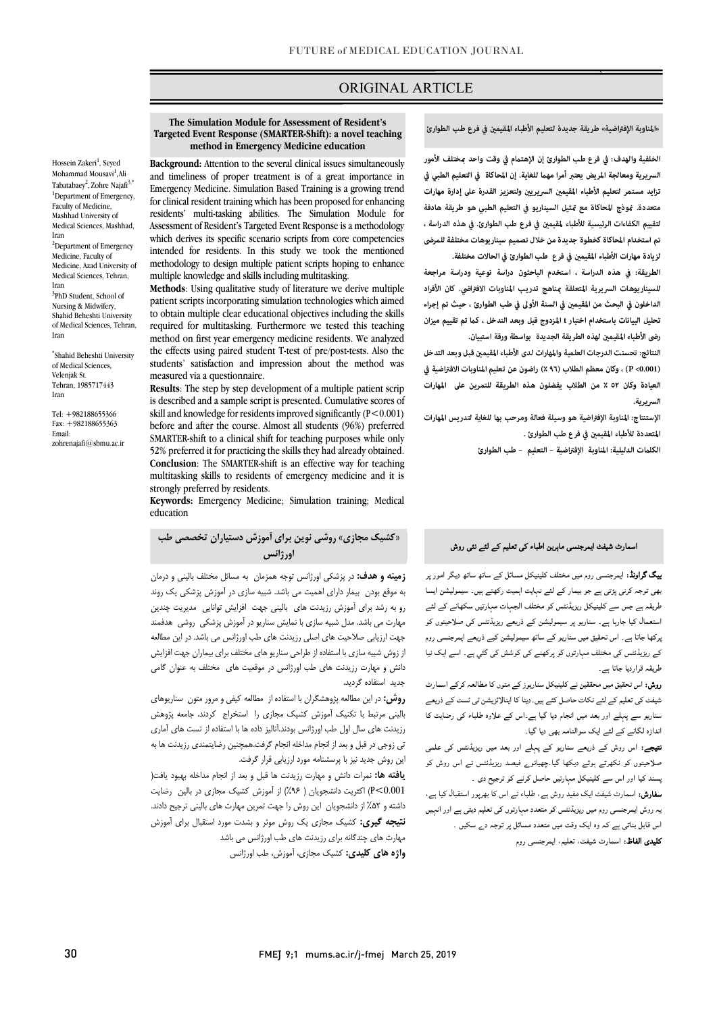## ORIGINAL ARTICLE

#### **Targeted Event Response (SMARTER-Shift): a novel teaching method in Emergency Medicine education The Simulation Module for Assessment of Resident's**

Ī

Hossein Zakeri<sup>1</sup>, Seyed Mohammad Mousavi<sup>1</sup>,Ali Tabatabaey<sup>2</sup>, Zohre Najafi<sup>3,\*</sup> <sup>1</sup>Department of Emergency, Faculty of Medicine, Mashhad University of Medical Sciences, Mashhad, Iran <sup>2</sup>Department of Emergency Medicine, Faculty of Medicine, Azad University of Medical Sciences, Tehran, Iran <sup>3</sup>PhD Student, School of Nursing & Midwifery, Shahid Beheshti University of Medical Sciences, Tehran, Iran

\* Shahid Beheshti University of Medical Sciences, Velenjak St. Tehran, 1985717443 Iran

Tel: +982188655366 Fax: +982188655363 Email: zohrenajafi@sbmu.ac.ir

 **Background:** Attention to the several clinical issues simultaneously and timeliness of proper treatment is of a great importance in for clinical resident training which has been proposed for enhancing residents' multi-tasking abilities. The Simulation Module for Assessment of resident 3 rangeled Event response is a included by which derives its specific scenario scripts from core competencies intended for residents. In this study we took the mentioned methodology to design multiple patient scripts hoping to enhance Emergency Medicine. Simulation Based Training is a growing trend Assessment of Resident's Targeted Event Response is a methodology multiple knowledge and skills including multitasking.

 **Methods**: Using qualitative study of literature we derive multiple patient scripts incorporating simulation technologies which aimed required for multitasking. Furthermore we tested this teaching method on first year emergency medicine residents. We analyzed the effects using paired student T-test of pre/post-tests. Also the students' satisfaction and impression about the method was<br>measured via a questionnaire to obtain multiple clear educational objectives including the skills measured via a questionnaire.

 **Results**: The step by step development of a multiple patient scrip is described and a sample script is presented. Cumulative scores of before and after the course. Almost all students (96%) preferred SMARTER-shift to a clinical shift for teaching purposes while only **Conclusion**: The SMARTER-shift is an effective way for teaching multitasking skills to residents of emergency medicine and it is skill and knowledge for residents improved significantly (P<0.001) 52% preferred it for practicing the skills they had already obtained. strongly preferred by residents.

 **Keywords:** Emergency Medicine; Simulation training; Medical education

 **«کشیک مجازي» روشی نوین براي آموزش دستیاران تخصصی طب اورژانس**

 **زمینه و هدف:** در پزشکی اورژانس توجه همزمان به مسائل مختلف بالینی و درمان به موقع بودن بیمار داراي اهمیت می باشد. شبیه سازي در آموزش پزشکی یک روند رو به رشد براي آموزش رزیدنت هاي بالینی جهت افزایش توانایی مدیریت چندین جهت ارزیابی صلاحیت هاي اصلی رزیدنت هاي طب اورژانس می باشد. در این مطالعه از زوش شبیه سازي با استفاده از طراحی سناریو هاي مختلف براي بیماران جهت افزایش دانش و مهارت رزیدنت هاي طب اورژانس در موقعیت هاي مختلف به عنوان گامی مهارت می باشد. مدل شبیه سازي با نمایش سناریو در آموزش پزشکی روشی هدفمند جدید استفاده گردید.

 **روش:** در این مطالعه پژوهشگران با استفاده از مطالعه کیفی و مرور متون سناریوهاي بالینی مرتبط با تکنیک آموزش کشیک مجازي را استخراج کردند. جامعه پژوهش رریدت سی سن اون عب اورراس بودند...بیر داده به با استدده از نسب سی امری<br>نی زوجی در قبل و بعد از انجام مداخله انجام گرفت.همچنین رضایتمندی رزیدنت ها به این روش جدید نیز با پرسشنامه مورد ارزیابی قرار گرفت. رزیدنت هاي سال اول طب اورژانس بودند.آنالیز داده ها با استفاده از تست هاي آماري

 **یافته ها:** نمرات دانش و مهارت رزیدنت ها قبل و بعد از انجام مداخله بهبود یافت( 0.001>P (اکثریت دانشجویان ( %96) از آموزش کشیک مجازي در بالین رضایت داشته و %52 از دانشجویان این روش را جهت تمرین مهارت هاي بالینی ترجیح دادند. **نتیجه گیري:** کشیک مجازي یک روش موثر و بشدت مورد استقبال براي آموزش مهارت هاي چندگانه براي رزیدنت هاي طب اورژانس می باشد

**واژه هاي کلیدي:** کشیک مجازي، آموزش، طب اورژانس

«المناوبة الإفتراضية» طريقة جديدة لتعليم الأطباء المقيمين في فرع طب الطوارئ

`ص  $\overline{a}$ 

الخلفية والهدف: في فرع طب الطوارئ إن الإهتمام في وقت واحد <sub>ت</sub>مختلف الأمور<br>. السريرية ومعالجة المريض يعتبر أمرا مهما للغاية. إن المحاكاة في التعليم الطبي في<br>-تزايد مستمر لتعليم الأطباء المقيمين السريريين ولتعزيز القدرة على إدارة مهارات<br>- **لتقييم الكفاءات الرئيسية للأطباء لمقيم في فرع طب الطوارئ. في هذه الدراسة ، تم استخدام المحاكاة كخطوة جديدة من خلال تصميم سيناريوهات مختلفة للمرضى لزيادة مهارات الأطباء المقيم في فرع طب الطوارئ في الحالات مختلفة. متعددة. وذج المحاكاة مع ثيل السيناريو في التعليم الطبي هو طريقة هادفة** 

 **الطريقة: في هذه الدراسة ، استخدم الباحثون دراسة نوعية ودراسة مراجعة للسيناريوهات السريرية المتعلقة ناهج تدريب المناوبات الا فتراضي. كان الأفراد**  الداخلون في البحث من المقيمين في السنة الأولى في طب الطوارئ ، حيث تم إجراء **تحليل البيانات باستخدام اختبار t المزدوج قبل وبعد التدخل ، ك تم تقييم ميزان**  رضى الأطباء المقيمين لهذه الطريقة الجديدة بواسطة ورقة استبيان.

 **النتائج: تحسنت الدرجات العلمية والمهارات لدى الأطباء المقيم قبل وبعد التدخل (0.001> P (، وكان معظم الطلاب (٪٩٦) راضون عن تعليم المناوبات الافتراضية في العيادة وكان ٥٢ ٪ من الطلاب يفضلون هذه الطريقة للتمرين على المهارات السريرية.** 

 **الإستنتاج: المناوبة الإفتراضية هو وسيلة فعالة ومرحب بها للغاية لتدريس المهارات**  ا<mark>ل</mark>تعددة للأطباء المقيمين في فرع طب الطوارئ .<br>.

**الكلت الدليلية: المناوبة الإفتراضية – التعليم – طب الطوارئ**

### اسمارٹ شیفٹ ایمرجنسی ماہرین اطباء کی تعلیم کے لئے نئی روش

**یگ گراونڈ:** ایمرجنسی روم میں مختلف کلینیکل مسائل کے ساتھ ساتھ دیگر امور پر<br>۔ بھی تریہ کری پری ہے اور پیداز سے سے دہنیہ ہسپت رتبے ہیں۔ سینریس ہے۔<br>طریقہ ہے جس سے کلینیکل ریزیڈنٹس کو مختلف الجہات مہارتیں سکھانے کے لئے ۔ ر سب کے ساتھ کے ہمارے کے محمد کے لیے ہیں ہے۔<br>استعمال کیا جارہا ہے۔ سناریو پر سیمولیشن کے ذریعے ریزیڈنٹس کی صلاحیتوں کو ۔<br>برکھا جاتا ہے۔ اس تحقیق میں سناریو کے ساتھ سیمولیشن کبے ذریعے ایمرجنسی روم کے ریزیڈنٹس کی مختلف مہارتوں کو پرکھنے کی کوشش کی گئي ہے۔ اسے ایک نیا طریقہ قراردیا جاتا ہے۔ بھی توجہ کرنی پڑتی ہے جو بیمار کے لئے نہایت اہمیت رکھتے ہیں۔ سیمولیشن ایسا

ر**وش:** اس تحقیق میں محققین نے کلینیکل سناریوز کے متوں کا مطالعہ کرکے اسمارٹ شیفٹ کی تعلیم کے لئے نکات حاصل کئے ہیں۔دیٹا کا اینالائزیشن ٹی ٹسٹ کے ذریعے سناریو سے پہلے اور بعد میں انجام دیا گیا ہے۔اس کے علاوہ طلباء کی رضایت کا اندازہ لگانے کے لئے ایک سوالنامہ بھی دیا گیا۔

میوجے مس رہی ہے مریحے مسموری ہے پہلچے مرکز بعد میں رپریدنس سی مسی<br>صلاحیتوں کو نکھرتے ہوئے دیکھا گیا۔چھیانوے فیصد ریزیڈنٹس نے اس روش کو ۔ یہ دی کا دورے کی جاتا ہے جس کے سامنے میں ہے ۔<br>پسند کیا اور اس سے کلینیکل مہارتیں حاصل کرنے کو ترجیح دی ۔ **نتیجے:** اس روش کے ذریعے سناریو کے پہلے اور بعد میں ریزیڈنٹس کی علمی

۔<br>**سفارش:** اسمارٹ شیفٹ ایک مفید روش ہے، طلباء نے اس کا بھرپور استقبال کیا ہے، بہ روش ایمرجنسی روم میں ریزیڈنٹس کو متعدد مہارتوں کی تعلیم دیتی ہے اور انہیں اس قابل بناتی ہے کہ وہ ایک وقت میں متعدد مسائل پر توجہ دے سکیں ۔ **کلیدی الفاظ:** اسمارٹ شیفٹ، تعلیم، ایمرجنسی روم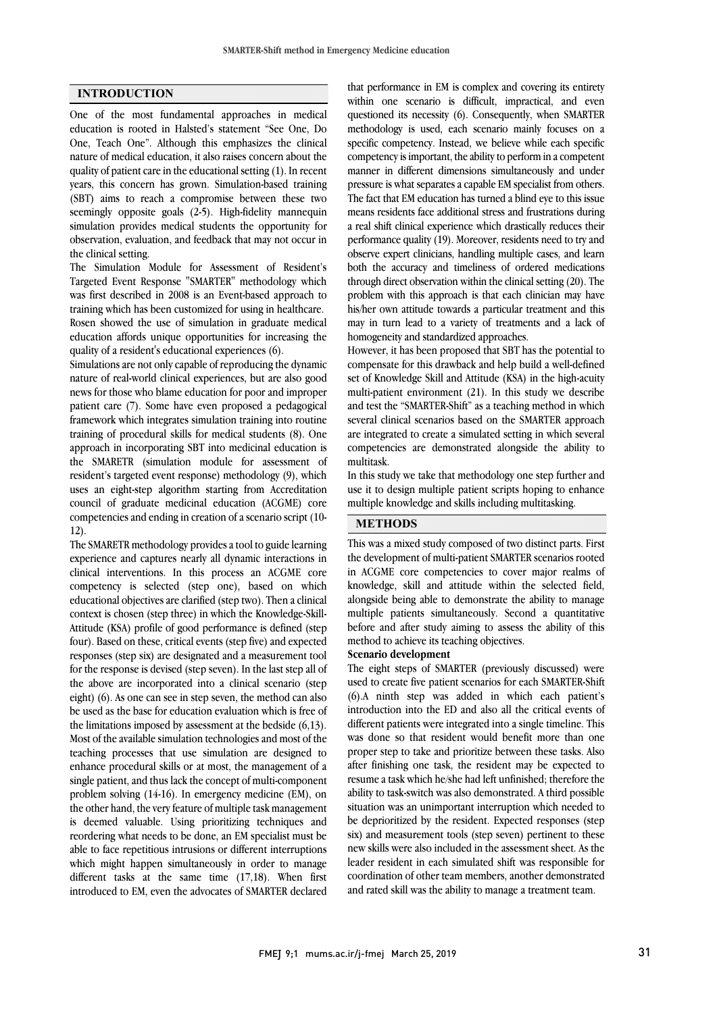### **INTRODUCTION**

One of the most fundamental approaches in medical education is rooted in Halsted's statement "See One, Do One, Teach One". Although this emphasizes the clinical nature of medical education, it also raises concern about the quality of patient care in the educational setting (1). In recent years, this concern has grown. Simulation-based training (SBT) aims to reach a compromise between these two seemingly opposite goals (2-5). High-fidelity mannequin simulation provides medical students the opportunity for observation, evaluation, and feedback that may not occur in the clinical setting.

The Simulation Module for Assessment of Resident's Targeted Event Response "SMARTER" methodology which was first described in 2008 is an Event-based approach to training which has been customized for using in healthcare. Rosen showed the use of simulation in graduate medical education affords unique opportunities for increasing the quality of a resident's educational experiences (6).

Simulations are not only capable of reproducing the dynamic nature of real-world clinical experiences, but are also good news for those who blame education for poor and improper patient care (7). Some have even proposed a pedagogical framework which integrates simulation training into routine training of procedural skills for medical students (8). One approach in incorporating SBT into medicinal education is the SMARETR (simulation module for assessment of resident's targeted event response) methodology (9), which uses an eight-step algorithm starting from Accreditation council of graduate medicinal education (ACGME) core competencies and ending in creation of ascenario script (10- 12).

The SMARETR methodology provides a tool to guide learning experience and captures nearly all dynamic interactions in clinical interventions. In this process an ACGME core competency is selected (step one), based on which educational objectives are clarified (step two). Then a clinical context is chosen (step three) in which the Knowledge-Skill-Attitude (KSA) profile of good performance is defined (step four). Based on these, critical events (step five) and expected responses (step six) are designated and a measurement tool for the response is devised (step seven). In the last step all of the above are incorporated into a clinical scenario (step eight) (6). As one can see in step seven, the method can also be used as the base for education evaluation which is free of the limitations imposed by assessment at the bedside (6,13). Most of the available simulation technologies and most of the teaching processes that use simulation are designed to enhance procedural skills or at most, the management of a single patient, and thus lack the concept of multi-component problem solving (14-16). In emergency medicine (EM), on the other hand, the very feature of multiple task management is deemed valuable. Using prioritizing techniques and reordering what needs to be done, an EM specialist must be able to face repetitious intrusions or different interruptions which might happen simultaneously in order to manage different tasks at the same time (17,18). When first introduced to EM, even the advocates of SMARTER declared

 within one scenario is difficult, impractical, and even questioned its necessity (6). Consequently, when SMARTER methodology is used, each scenario mainly focuses on a specific competency. Instead, we believe while each specific manner in different dimensions simultaneously and under pressure is what separates a capable EM specialist from others. The fact that EM education has turned a blind eye to this issue means residents face additional stress and frustrations during performance quality (19). Moreover, residents need to try and observe expert clinicians, handling multiple cases, and learn both the accuracy and timeliness of ordered medications through direct observation within the clinical setting (20). The his/her own attitude towards a particular treatment and this may in turn lead to a variety of treatments and a lack of homogeneity and standardized approaches. that performance in EM is complex and covering its entirety competency is important, the ability to perform in a competent a real shift clinical experience which drastically reduces their problem with this approach is that each clinician may have

 However, it has been proposed that SBT has the potential to set of Knowledge Skill and Attitude (KSA) in the high-acuity multi-patient environment (21). In this study we describe and test the "SMARTER-Shift" as a teaching method in which several clinical scenarios based on the SMARTER approach competencies are demonstrated alongside the ability to multitask. compensate for this drawback and help build a well-defined are integrated to create a simulated setting in which several

 In this study we take that methodology one step further and use it to design multiple patient scripts hoping to enhance multiple knowledge and skills including multitasking.

## **METHODS**

 This was a mixed study composed of two distinct parts. First the development of multi-patient SMARTER scenarios rooted knowledge, skill and attitude within the selected field, alongside being able to demonstrate the ability to manage multiple patients simultaneously. Second a quantitative before and after study aiming to assess the ability of this in ACGME core competencies to cover major realms of method to achieve its teaching objectives.

# **Scenario development**

 The eight steps of SMARTER (previously discussed) were used to create five patient scenarios for each SMARTER-Shift (6).A ninth step was added in which each patient's different patients were integrated into a single timeline. This was done so that resident would benefit more than one proper step to take and prioritize between these tasks. Also after finishing one task, the resident may be expected to ability to task-switch was also demonstrated. A third possible situation was an unimportant interruption which needed to be deprioritized by the resident. Expected responses (step six) and measurement tools (step seven) pertinent to these leader resident in each simulated shift was responsible for coordination of other team members, another demonstrated and rated skill was the ability to manage a treatment team. introduction into the ED and also all the critical events of resume a task which he/she had left unfinished; therefore the new skills were also included in the assessment sheet. As the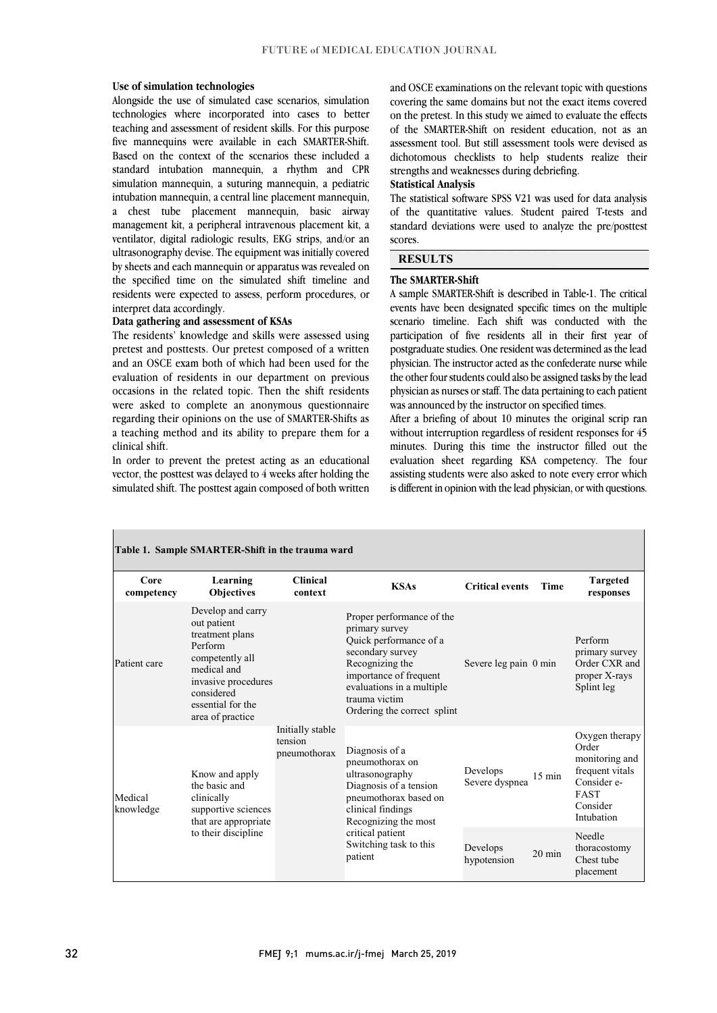### **Use of simulation technologies**

 Alongside the use of simulated case scenarios, simulation technologies where incorporated into cases to better teaching and assessment of resident skills. For this purpose five mannequins were available in each SMARTER-Shift. standard intubation mannequin, a rhythm and CPR simulation mannequin, a suturing mannequin, a pediatric intubation mannequin, a central line placement mannequin, a chest tube placement mannequin, basic airway ventilator, digital radiologic results, EKG strips, and/or an ultrasonography devise. The equipment was initially covered by sheets and each mannequin or apparatus was revealed on the specified time on the simulated shift timeline and residents were expected to assess, perform procedures, or Based on the context of the scenarios these included a management kit, a peripheral intravenous placement kit, a interpret data accordingly.

### **Data gathering and assessment of KSAs**

 The residents' knowledge and skills were assessed using pretest and posttests. Our pretest composed of a written evaluation of residents in our department on previous occasions in the related topic. Then the shift residents were asked to complete an anonymous questionnaire regarding their opinions on the use of SMARTER-Shifts as a teaching method and its ability to prepare them for a clinical chife and an OSCE exam both of which had been used for the clinical shift.

 In order to prevent the pretest acting as an educational vector, the posttest was delayed to 4 weeks after holding the simulated shift. The posttest again composed of both written

L

 covering the same domains but not the exact items covered on the pretest. In this study we aimed to evaluate the effects of the SMARTER-Shift on resident education, not as an assessment tool. But still assessment tools were devised as dichotomous checklists to help students realize their and OSCE examinations on the relevant topic with questions strengths and weaknesses during debriefing.

### **Statistical Analysis**

 The statistical software SPSS V21 was used for data analysis of the quantitative values. Student paired T-tests and standard deviations were used to analyze the pre/posttest  $\overline{a}$ scores.

l

 $\overline{1}$ 

## **RESULTS**

### **The SMARTER-Shift**

 A sample SMARTER-Shift is described in Table-1. The critical events have been designated specific times on the multiple scenario timeline. Each shift was conducted with the participation of five residents all in their first year of postgraduate studies. One resident was determined as the lead the other four students could also be assigned tasks by the lead physician as nurses or staff. The data pertaining to each patient was announced by the instructor on specified times. physician. The instructor acted as the confederate nurse while

 After a briefing of about 10 minutes the original scrip ran minutes. During this time the instructor filled out the evaluation sheet regarding KSA competency. The four assisting students were also asked to note every error which is different in opinion with the lead physician, or with questions. without interruption regardless of resident responses for 45

| Table 1. Sample SMARTER-Shift in the trauma ward |                                                                                                                                                                                |                                             |                                                                                                                                                                                                                     |                            |                  |                                                                                                                      |
|--------------------------------------------------|--------------------------------------------------------------------------------------------------------------------------------------------------------------------------------|---------------------------------------------|---------------------------------------------------------------------------------------------------------------------------------------------------------------------------------------------------------------------|----------------------------|------------------|----------------------------------------------------------------------------------------------------------------------|
| Core<br>competency                               | Learning<br><b>Objectives</b>                                                                                                                                                  | <b>Clinical</b><br>context                  | <b>KSAs</b>                                                                                                                                                                                                         | <b>Critical events</b>     | <b>Time</b>      | <b>Targeted</b><br>responses                                                                                         |
| Patient care                                     | Develop and carry<br>out patient<br>treatment plans<br>Perform<br>competently all<br>medical and<br>invasive procedures<br>considered<br>essential for the<br>area of practice | Initially stable<br>tension<br>pneumothorax | Proper performance of the<br>primary survey<br>Quick performance of a<br>secondary survey<br>Recognizing the<br>importance of frequent<br>evaluations in a multiple<br>trauma victim<br>Ordering the correct splint | Severe leg pain 0 min      |                  | Perform<br>primary survey<br>Order CXR and<br>proper X-rays<br>Splint leg                                            |
| Medical<br>knowledge                             | Know and apply<br>the basic and<br>clinically<br>supportive sciences<br>that are appropriate<br>to their discipline                                                            |                                             | Diagnosis of a<br>pneumothorax on<br>ultrasonography<br>Diagnosis of a tension<br>pneumothorax based on<br>clinical findings<br>Recognizing the most<br>critical patient<br>Switching task to this<br>patient       | Develops<br>Severe dyspnea | $15 \text{ min}$ | Oxygen therapy<br>Order<br>monitoring and<br>frequent vitals<br>Consider e-<br><b>FAST</b><br>Consider<br>Intubation |
|                                                  |                                                                                                                                                                                |                                             |                                                                                                                                                                                                                     | Develops<br>hypotension    | $20 \text{ min}$ | Needle<br>thoracostomy<br>Chest tube<br>placement                                                                    |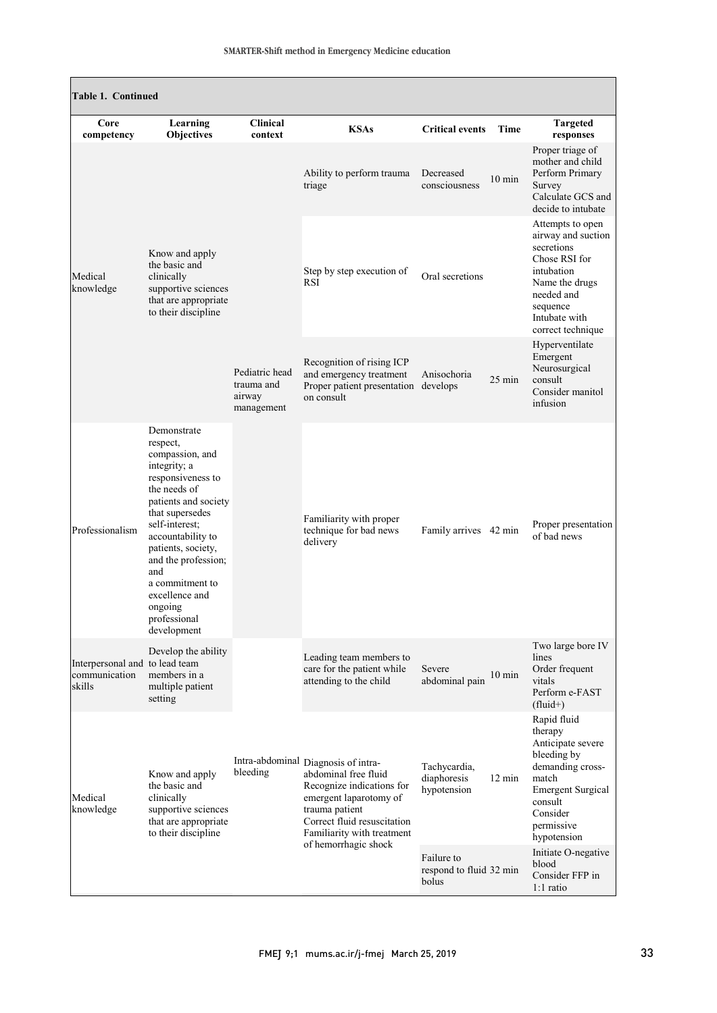| <b>Table 1. Continued</b>                                 |                                                                                                                                                                                                                                                                                                                      |                                                      |                                                                                                                                                                                                                           |                                                          |                  |                                                                                                                                                                                                |
|-----------------------------------------------------------|----------------------------------------------------------------------------------------------------------------------------------------------------------------------------------------------------------------------------------------------------------------------------------------------------------------------|------------------------------------------------------|---------------------------------------------------------------------------------------------------------------------------------------------------------------------------------------------------------------------------|----------------------------------------------------------|------------------|------------------------------------------------------------------------------------------------------------------------------------------------------------------------------------------------|
| Core<br>competency                                        | Learning<br>Objectives                                                                                                                                                                                                                                                                                               | <b>Clinical</b><br>context                           | <b>KSAs</b>                                                                                                                                                                                                               | <b>Critical events</b>                                   | Time             | <b>Targeted</b><br>responses                                                                                                                                                                   |
| Medical<br>knowledge                                      | Know and apply<br>the basic and<br>clinically<br>supportive sciences<br>that are appropriate<br>to their discipline                                                                                                                                                                                                  | Pediatric head<br>trauma and<br>airway<br>management | Ability to perform trauma<br>triage                                                                                                                                                                                       | Decreased<br>consciousness                               | $10 \text{ min}$ | Proper triage of<br>mother and child<br>Perform Primary<br>Survey<br>Calculate GCS and<br>decide to intubate                                                                                   |
|                                                           |                                                                                                                                                                                                                                                                                                                      |                                                      | Step by step execution of<br>RSI                                                                                                                                                                                          | Oral secretions                                          |                  | Attempts to open<br>airway and suction<br>secretions<br>Chose RSI for<br>intubation<br>Name the drugs<br>needed and<br>sequence<br>Intubate with<br>correct technique                          |
|                                                           |                                                                                                                                                                                                                                                                                                                      |                                                      | Recognition of rising ICP<br>and emergency treatment<br>Proper patient presentation develops<br>on consult                                                                                                                | Anisochoria                                              | $25 \text{ min}$ | Hyperventilate<br>Emergent<br>Neurosurgical<br>consult<br>Consider manitol<br>infusion                                                                                                         |
| Professionalism                                           | Demonstrate<br>respect,<br>compassion, and<br>integrity; a<br>responsiveness to<br>the needs of<br>patients and society<br>that supersedes<br>self-interest;<br>accountability to<br>patients, society,<br>and the profession;<br>and<br>a commitment to<br>excellence and<br>ongoing<br>professional<br>development |                                                      | Familiarity with proper<br>technique for bad news<br>delivery                                                                                                                                                             | Family arrives 42 min                                    |                  | Proper presentation<br>of bad news                                                                                                                                                             |
| Interpersonal and to lead team<br>communication<br>skills | Develop the ability<br>members in a<br>multiple patient<br>setting                                                                                                                                                                                                                                                   |                                                      | Leading team members to<br>care for the patient while<br>attending to the child                                                                                                                                           | Severe<br>abdominal pain                                 | $10 \text{ min}$ | Two large bore IV<br>lines<br>Order frequent<br>vitals<br>Perform e-FAST<br>$(fluid+)$                                                                                                         |
| Medical<br>knowledge                                      | Know and apply<br>the basic and<br>clinically<br>supportive sciences<br>that are appropriate<br>to their discipline                                                                                                                                                                                                  | bleeding                                             | Intra-abdominal Diagnosis of intra-<br>abdominal free fluid<br>Recognize indications for<br>emergent laparotomy of<br>trauma patient<br>Correct fluid resuscitation<br>Familiarity with treatment<br>of hemorrhagic shock | Tachycardia,<br>diaphoresis<br>hypotension<br>Failure to | $12 \text{ min}$ | Rapid fluid<br>therapy<br>Anticipate severe<br>bleeding by<br>demanding cross-<br>match<br><b>Emergent Surgical</b><br>consult<br>Consider<br>permissive<br>hypotension<br>Initiate O-negative |
|                                                           |                                                                                                                                                                                                                                                                                                                      |                                                      |                                                                                                                                                                                                                           | respond to fluid 32 min<br>bolus                         |                  | blood<br>Consider FFP in<br>$1:1$ ratio                                                                                                                                                        |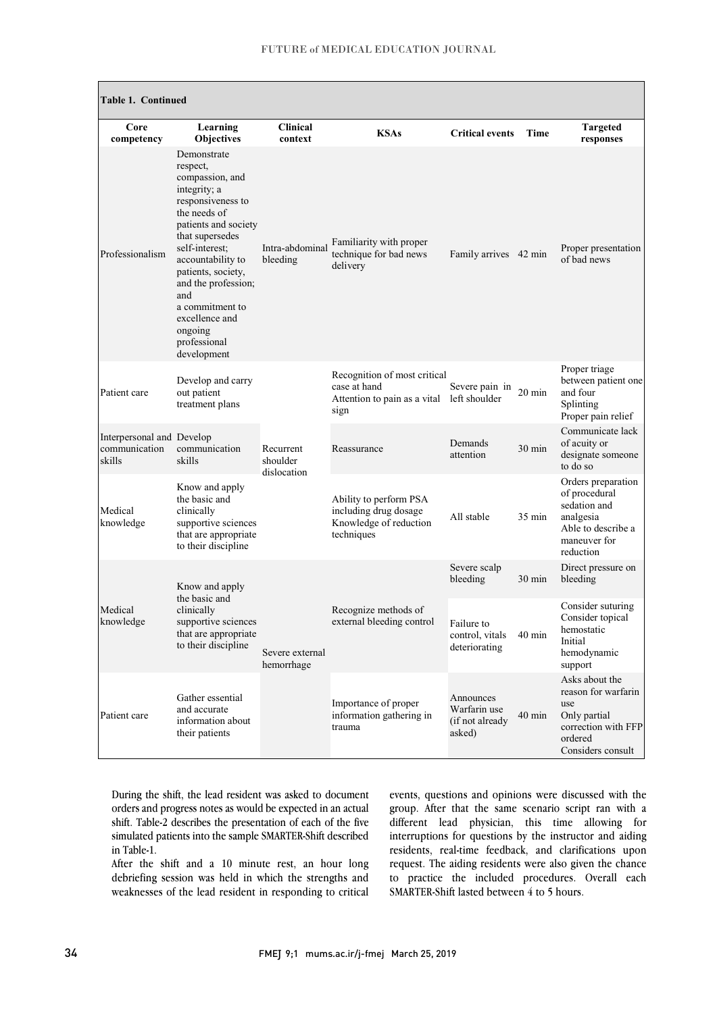| <b>Table 1. Continued</b>                            |                                                                                                                                                                                                                                                                                                                      |                                      |                                                                                                    |                                                        |                  |                                                                                                                     |
|------------------------------------------------------|----------------------------------------------------------------------------------------------------------------------------------------------------------------------------------------------------------------------------------------------------------------------------------------------------------------------|--------------------------------------|----------------------------------------------------------------------------------------------------|--------------------------------------------------------|------------------|---------------------------------------------------------------------------------------------------------------------|
| Core<br>competency                                   | Learning<br>Objectives                                                                                                                                                                                                                                                                                               | <b>Clinical</b><br>context           | <b>KSAs</b>                                                                                        | <b>Critical events</b>                                 | Time             | <b>Targeted</b><br>responses                                                                                        |
| Professionalism                                      | Demonstrate<br>respect,<br>compassion, and<br>integrity; a<br>responsiveness to<br>the needs of<br>patients and society<br>that supersedes<br>self-interest;<br>accountability to<br>patients, society,<br>and the profession;<br>and<br>a commitment to<br>excellence and<br>ongoing<br>professional<br>development | Intra-abdominal<br>bleeding          | Familiarity with proper<br>technique for bad news<br>delivery                                      | Family arrives 42 min                                  |                  | Proper presentation<br>of bad news                                                                                  |
| Patient care                                         | Develop and carry<br>out patient<br>treatment plans                                                                                                                                                                                                                                                                  | Recurrent<br>shoulder<br>dislocation | Recognition of most critical<br>case at hand<br>Attention to pain as a vital left shoulder<br>sign | Severe pain in                                         | $20 \text{ min}$ | Proper triage<br>between patient one<br>and four<br>Splinting<br>Proper pain relief                                 |
| Interpersonal and Develop<br>communication<br>skills | communication<br>skills                                                                                                                                                                                                                                                                                              |                                      | Reassurance                                                                                        | Demands<br>attention                                   | 30 min           | Communicate lack<br>of acuity or<br>designate someone<br>to do so                                                   |
| Medical<br>knowledge                                 | Know and apply<br>the basic and<br>clinically<br>supportive sciences<br>that are appropriate<br>to their discipline                                                                                                                                                                                                  |                                      | Ability to perform PSA<br>including drug dosage<br>Knowledge of reduction<br>techniques            | All stable                                             | $35 \text{ min}$ | Orders preparation<br>of procedural<br>sedation and<br>analgesia<br>Able to describe a<br>maneuver for<br>reduction |
| Medical<br>knowledge                                 | Know and apply<br>the basic and<br>clinically<br>supportive sciences<br>that are appropriate<br>to their discipline                                                                                                                                                                                                  | Severe external<br>hemorrhage        | Recognize methods of<br>external bleeding control                                                  | Severe scalp<br>bleeding                               | $30 \text{ min}$ | Direct pressure on<br>bleeding                                                                                      |
|                                                      |                                                                                                                                                                                                                                                                                                                      |                                      |                                                                                                    | Failure to<br>control, vitals<br>deteriorating         | $40 \text{ min}$ | Consider suturing<br>Consider topical<br>hemostatic<br>Initial<br>hemodynamic<br>support                            |
| Patient care                                         | Gather essential<br>and accurate<br>information about<br>their patients                                                                                                                                                                                                                                              |                                      | Importance of proper<br>information gathering in<br>trauma                                         | Announces<br>Warfarin use<br>(if not already<br>asked) | $40 \text{ min}$ | Asks about the<br>reason for warfarin<br>use<br>Only partial<br>correction with FFP<br>ordered<br>Considers consult |

During the shift, the lead resident was asked to document orders and progress notes as would be expected in an actual shift. Table-2 describes the presentation of each of the five simulated patients into the sample SMARTER-Shift described in Table-1.

After the shift and a 10 minute rest, an hour long debriefing session was held in which the strengths and weaknesses of the lead resident in responding to critical events, questions and opinions were discussed with the group. After that the same scenario script ran with a different lead physician, this time allowing for interruptions for questions by the instructor and aiding residents, real-time feedback, and clarifications upon request. The aiding residents were also given the chance to practice the included procedures. Overall each SMARTER-Shift lasted between 4 to 5 hours.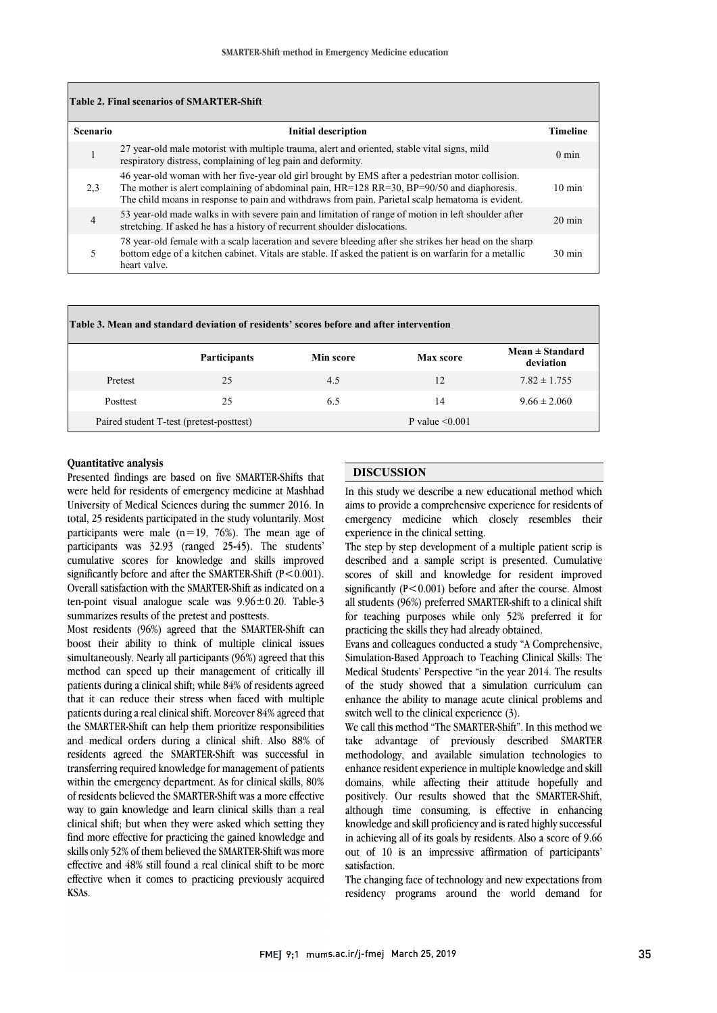|                 | Table 2. Final scenarios of SMARTER-Shift                                                                                                                                                                                                                                                               |                  |
|-----------------|---------------------------------------------------------------------------------------------------------------------------------------------------------------------------------------------------------------------------------------------------------------------------------------------------------|------------------|
| <b>Scenario</b> | <b>Initial description</b>                                                                                                                                                                                                                                                                              | <b>Timeline</b>  |
|                 | 27 year-old male motorist with multiple trauma, alert and oriented, stable vital signs, mild<br>respiratory distress, complaining of leg pain and deformity.                                                                                                                                            | $0 \text{ min}$  |
| 2,3             | 46 year-old woman with her five-year old girl brought by EMS after a pedestrian motor collision.<br>The mother is alert complaining of abdominal pain, $HR=128 RR=30$ , $BP=90/50$ and diaphoresis.<br>The child moans in response to pain and withdraws from pain. Parietal scalp hematoma is evident. | $10 \text{ min}$ |
| 4               | 53 year-old made walks in with severe pain and limitation of range of motion in left shoulder after<br>stretching. If asked he has a history of recurrent shoulder dislocations.                                                                                                                        | $20 \text{ min}$ |
|                 | 78 year-old female with a scalp laceration and severe bleeding after she strikes her head on the sharp<br>bottom edge of a kitchen cabinet. Vitals are stable. If asked the patient is on warfarin for a metallic<br>heart valve.                                                                       | $30 \text{ min}$ |

| Table 3. Mean and standard deviation of residents' scores before and after intervention |                     |           |                      |                                  |  |  |
|-----------------------------------------------------------------------------------------|---------------------|-----------|----------------------|----------------------------------|--|--|
|                                                                                         | <b>Participants</b> | Min score | Max score            | $Mean \pm Standard$<br>deviation |  |  |
| Pretest                                                                                 | 25                  | 4.5       | 12                   | $7.82 \pm 1.755$                 |  |  |
| Posttest                                                                                | 25                  | 6.5       | 14                   | $9.66 \pm 2.060$                 |  |  |
| Paired student T-test (pretest-posttest)                                                |                     |           | P value $\leq 0.001$ |                                  |  |  |

### **Quantitative analysis**

Presented findings are based on five SMARTER-Shifts that were held for residents of emergency medicine at Mashhad University of Medical Sciences during the summer 2016. In total, 25 residents participated in the study voluntarily. Most participants were male  $(n=19, 76%)$ . The mean age of participants was 32.93 (ranged 25-45). The students' cumulative scores for knowledge and skills improved significantly before and after the SMARTER-Shift  $(P < 0.001)$ . Overall satisfaction with the SMARTER-Shift as indicated on a ten-point visual analogue scale was  $9.96 \pm 0.20$ . Table-3 summarizes results of the pretest and posttests.

Most residents (96%) agreed that the SMARTER-Shift can boost their ability to think of multiple clinical issues simultaneously. Nearly all participants (96%) agreed that this method can speed up their management of critically ill patients during a clinical shift; while 84% of residents agreed that it can reduce their stress when faced with multiple patients during a real clinical shift. Moreover 84% agreed that the SMARTER-Shift can help them prioritize responsibilities and medical orders during a clinical shift. Also 88% of residents agreed the SMARTER-Shift was successful in transferring required knowledge for management of patients within the emergency department. As for clinical skills, 80% of residents believed the SMARTER-Shift was a more effective way to gain knowledge and learn clinical skills than a real clinical shift; but when they were asked which setting they find more effective for practicing the gained knowledge and skills only 52% of them believed the SMARTER-Shift was more effective and 48% still found a real clinical shift to be more effective when it comes to practicing previously acquired KSAs.

## **DISCUSSION**

In this study we describe a new educational method which aims to provide a comprehensive experience for residents of emergency medicine which closely resembles their experience in the clinical setting.

The step by step development of a multiple patient scrip is described and a sample script is presented. Cumulative scores of skill and knowledge for resident improved significantly  $(P<0.001)$  before and after the course. Almost all students (96%) preferred SMARTER-shift to a clinical shift for teaching purposes while only 52% preferred it for practicing the skills they had already obtained.

Evans and colleagues conducted a study "A Comprehensive, Simulation-Based Approach to Teaching Clinical Skills: The Medical Students' Perspective "in the year 2014. The results of the study showed that a simulation curriculum can enhance the ability to manage acute clinical problems and switch well to the clinical experience (3).

We call this method "The SMARTER-Shift". In this method we take advantage of previously described SMARTER methodology, and available simulation technologies to enhance resident experience in multiple knowledge and skill domains, while affecting their attitude hopefully and positively. Our results showed that the SMARTER-Shift, although time consuming, is effective in enhancing knowledge and skill proficiency and is rated highly successful in achieving all of its goals by residents. Also a score of 9.66 out of 10 is an impressive affirmation of participants' satisfaction.

The changing face of technology and new expectations from residency programs around the world demand for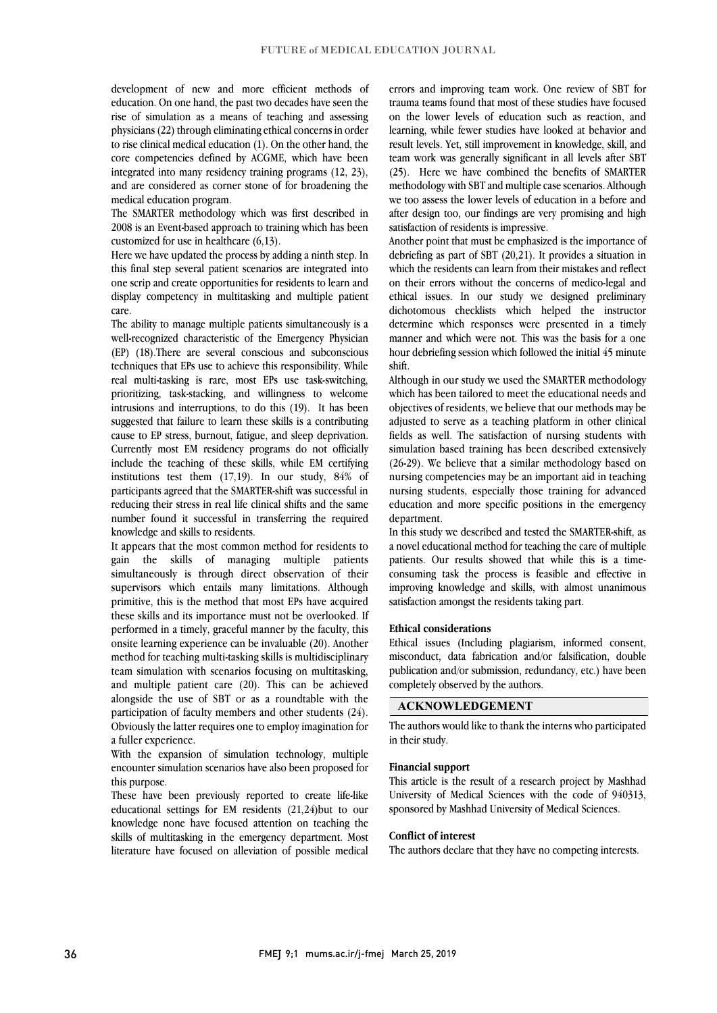development of new and more efficient methods of education. On one hand, the past two decades have seen the rise of simulation as a means of teaching and assessing physicians (22) through eliminating ethical concerns in order to rise clinical medical education (1). On the other hand, the core competencies defined by ACGME, which have been integrated into many residency training programs (12, 23), and are considered as corner stone of for broadening the medical education program.

The SMARTER methodology which was first described in 2008 is an Event-based approach to training which has been customized for use in healthcare (6,13).

Here we have updated the process by adding a ninth step. In this final step several patient scenarios are integrated into one scrip and create opportunities for residents to learn and display competency in multitasking and multiple patient care.

The ability to manage multiple patients simultaneously is a well-recognized characteristic of the Emergency Physician (EP) (18).There are several conscious and subconscious techniques that EPs use to achieve this responsibility. While real multi-tasking is rare, most EPs use task-switching, prioritizing, task-stacking, and willingness to welcome intrusions and interruptions, to do this (19). It has been suggested that failure to learn these skills is a contributing cause to EP stress, burnout, fatigue, and sleep deprivation. Currently most EM residency programs do not officially include the teaching of these skills, while EM certifying institutions test them (17,19). In our study, 84% of participants agreed that the SMARTER-shift was successful in reducing their stress in real life clinical shifts and the same number found it successful in transferring the required knowledge and skills to residents.

It appears that the most common method for residents to gain the skills of managing multiple patients simultaneously is through direct observation of their supervisors which entails many limitations. Although primitive, this is the method that most EPs have acquired these skills and its importance must not be overlooked. If performed in a timely, graceful manner by the faculty, this onsite learning experience can be invaluable (20). Another method for teaching multi-tasking skills is multidisciplinary team simulation with scenarios focusing on multitasking, and multiple patient care (20). This can be achieved alongside the use of SBT or as a roundtable with the participation of faculty members and other students (24). Obviously the latter requires one to employ imagination for a fuller experience.

With the expansion of simulation technology, multiple encounter simulation scenarios have also been proposed for this purpose.

These have been previously reported to create life-like educational settings for EM residents (21,24)but to our knowledge none have focused attention on teaching the skills of multitasking in the emergency department. Most literature have focused on alleviation of possible medical errors and improving team work. One review of SBT for trauma teams found that most of these studies have focused on the lower levels of education such as reaction, and learning, while fewer studies have looked at behavior and result levels. Yet, still improvement in knowledge, skill, and team work was generally significant in all levels after SBT (25). Here we have combined the benefits of SMARTER methodology with SBT and multiple case scenarios. Although we too assess the lower levels of education in a before and after design too, our findings are very promising and high satisfaction of residents is impressive.

Another point that must be emphasized is the importance of debriefing as part of SBT (20,21). It provides a situation in which the residents can learn from their mistakes and reflect on their errors without the concerns of medico-legal and ethical issues. In our study we designed preliminary dichotomous checklists which helped the instructor determine which responses were presented in a timely manner and which were not. This was the basis for a one hour debriefing session which followed the initial 45 minute shift.

Although in our study we used the SMARTER methodology which has been tailored to meet the educational needs and objectives of residents, we believe that our methods may be adjusted to serve as a teaching platform in other clinical fields as well. The satisfaction of nursing students with simulation based training has been described extensively (26-29). We believe that a similar methodology based on nursing competencies may be an important aid in teaching nursing students, especially those training for advanced education and more specific positions in the emergency department.

In this study we described and tested the SMARTER-shift, as a novel educational method for teaching the care of multiple patients. Our results showed that while this is a timeconsuming task the process is feasible and effective in improving knowledge and skills, with almost unanimous satisfaction amongst the residents taking part.

### **Ethical considerations**

Ethical issues (Including plagiarism, informed consent, misconduct, data fabrication and/or falsification, double publication and/or submission, redundancy, etc.) have been completely observed by the authors.

## **ACKNOWLEDGEMENT**

The authors would like to thank the interns who participated in their study.

### **Financial support**

This article is the result of a research project by Mashhad University of Medical Sciences with the code of 940313, sponsored by Mashhad University of Medical Sciences.

#### **Conflict of interest**

The authors declare that they have no competing interests.